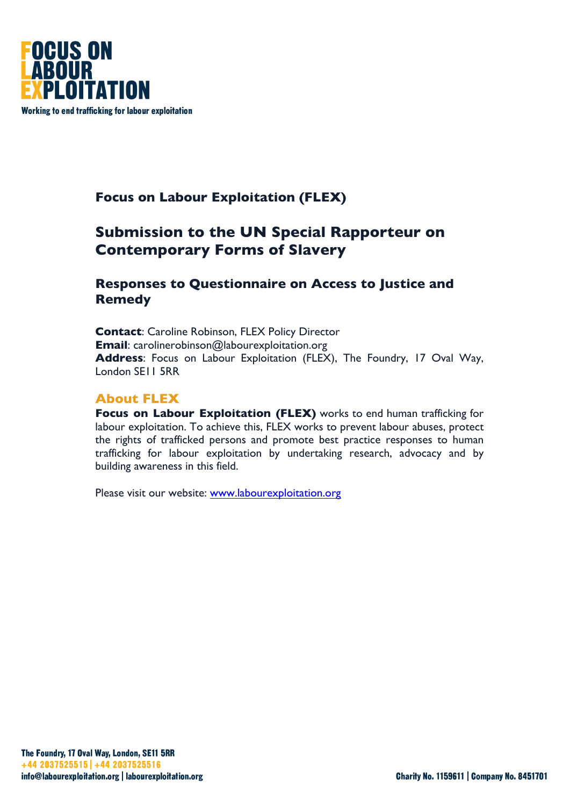

# **Focus on Labour Exploitation (FLEX)**

# **Submission to the UN Special Rapporteur on Contemporary Forms of Slavery**

## **Responses to Questionnaire on Access to Justice and Remedy**

**Contact**: Caroline Robinson, FLEX Policy Director **Email**: carolinerobinson@labourexploitation.org **Address**: Focus on Labour Exploitation (FLEX), The Foundry, 17 Oval Way, London SE11 5RR

## **About FLEX**

**Focus on Labour Exploitation (FLEX)** works to end human trafficking for labour exploitation. To achieve this, FLEX works to prevent labour abuses, protect the rights of trafficked persons and promote best practice responses to human trafficking for labour exploitation by undertaking research, advocacy and by building awareness in this field.

Please visit our website: www.labourexploitation.org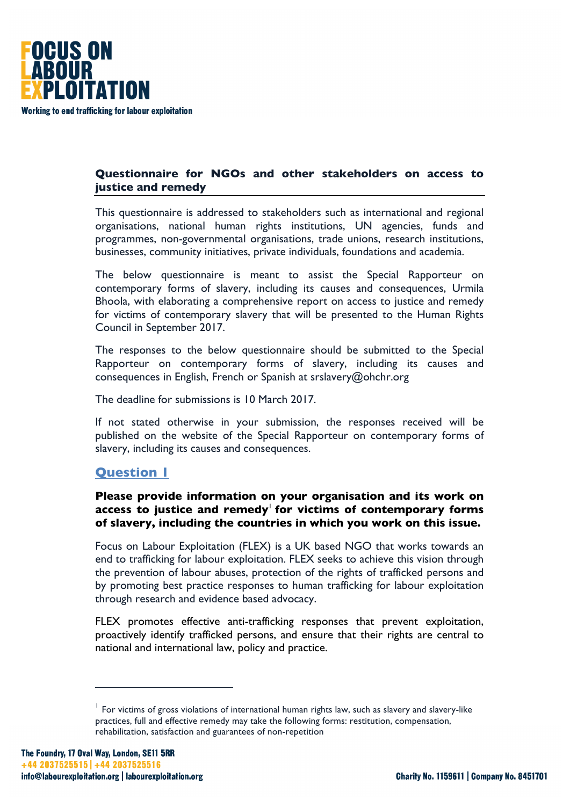

## **Questionnaire for NGOs and other stakeholders on access to justice and remedy**

This questionnaire is addressed to stakeholders such as international and regional organisations, national human rights institutions, UN agencies, funds and programmes, non-governmental organisations, trade unions, research institutions, businesses, community initiatives, private individuals, foundations and academia.

The below questionnaire is meant to assist the Special Rapporteur on contemporary forms of slavery, including its causes and consequences, Urmila Bhoola, with elaborating a comprehensive report on access to justice and remedy for victims of contemporary slavery that will be presented to the Human Rights Council in September 2017.

The responses to the below questionnaire should be submitted to the Special Rapporteur on contemporary forms of slavery, including its causes and consequences in English, French or Spanish at srslavery@ohchr.org

The deadline for submissions is 10 March 2017.

If not stated otherwise in your submission, the responses received will be published on the website of the Special Rapporteur on contemporary forms of slavery, including its causes and consequences.

## **Question 1**

## **Please provide information on your organisation and its work on access to justice and remedy**<sup>1</sup> **for victims of contemporary forms of slavery, including the countries in which you work on this issue.**

Focus on Labour Exploitation (FLEX) is a UK based NGO that works towards an end to trafficking for labour exploitation. FLEX seeks to achieve this vision through the prevention of labour abuses, protection of the rights of trafficked persons and by promoting best practice responses to human trafficking for labour exploitation through research and evidence based advocacy.

FLEX promotes effective anti-trafficking responses that prevent exploitation, proactively identify trafficked persons, and ensure that their rights are central to national and international law, policy and practice.

 $1$  For victims of gross violations of international human rights law, such as slavery and slavery-like practices, full and effective remedy may take the following forms: restitution, compensation, rehabilitation, satisfaction and guarantees of non-repetition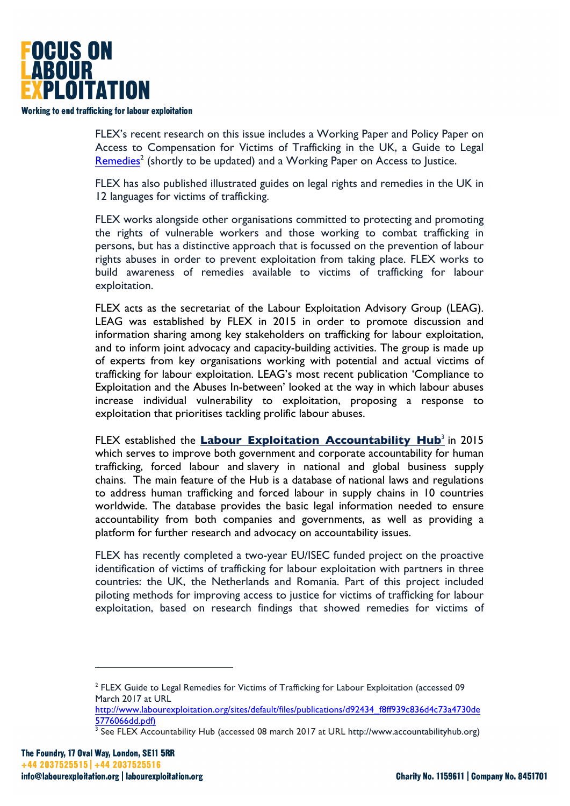

FLEX's recent research on this issue includes a Working Paper and Policy Paper on Access to Compensation for Victims of Trafficking in the UK, a Guide to Legal Remedies<sup>2</sup> (shortly to be updated) and a Working Paper on Access to Justice.

FLEX has also published illustrated guides on legal rights and remedies in the UK in 12 languages for victims of trafficking.

FLEX works alongside other organisations committed to protecting and promoting the rights of vulnerable workers and those working to combat trafficking in persons, but has a distinctive approach that is focussed on the prevention of labour rights abuses in order to prevent exploitation from taking place. FLEX works to build awareness of remedies available to victims of trafficking for labour exploitation.

FLEX acts as the secretariat of the Labour Exploitation Advisory Group (LEAG). LEAG was established by FLEX in 2015 in order to promote discussion and information sharing among key stakeholders on trafficking for labour exploitation, and to inform joint advocacy and capacity-building activities. The group is made up of experts from key organisations working with potential and actual victims of trafficking for labour exploitation. LEAG's most recent publication 'Compliance to Exploitation and the Abuses In-between' looked at the way in which labour abuses increase individual vulnerability to exploitation, proposing a response to exploitation that prioritises tackling prolific labour abuses.

FLEX established the Labour Exploitation Accountability Hub<sup>3</sup> in 2015 which serves to improve both government and corporate accountability for human trafficking, forced labour and slavery in national and global business supply chains. The main feature of the Hub is a database of national laws and regulations to address human trafficking and forced labour in supply chains in 10 countries worldwide. The database provides the basic legal information needed to ensure accountability from both companies and governments, as well as providing a platform for further research and advocacy on accountability issues.

FLEX has recently completed a two-year EU/ISEC funded project on the proactive identification of victims of trafficking for labour exploitation with partners in three countries: the UK, the Netherlands and Romania. Part of this project included piloting methods for improving access to justice for victims of trafficking for labour exploitation, based on research findings that showed remedies for victims of

<sup>&</sup>lt;sup>2</sup> FLEX Guide to Legal Remedies for Victims of Trafficking for Labour Exploitation (accessed 09 March 2017 at URL

http://www.labourexploitation.org/sites/default/files/publications/d92434\_f8ff939c836d4c73a4730de 5776066dd.pdf)

<sup>&</sup>lt;sup>3</sup> See FLEX Accountability Hub (accessed 08 march 2017 at URL http://www.accountabilityhub.org)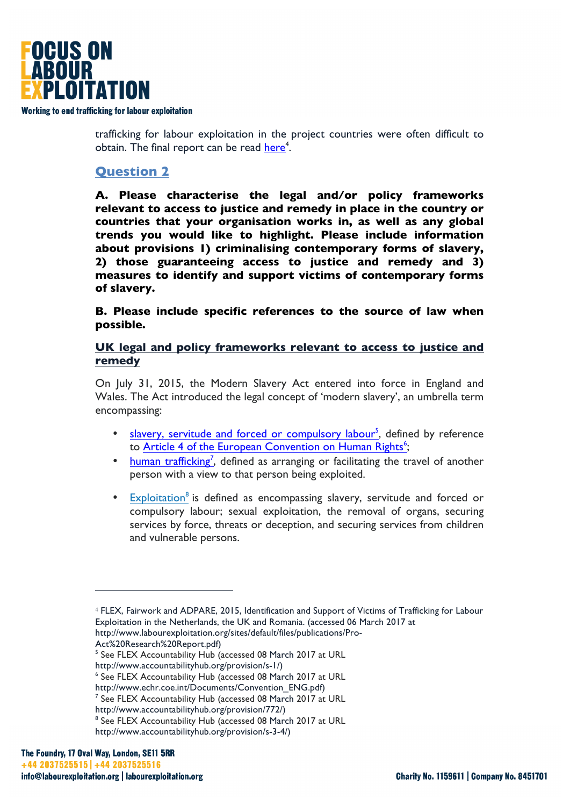

trafficking for labour exploitation in the project countries were often difficult to obtain. The final report can be read here<sup>4</sup>.

## **Question 2**

**A. Please characterise the legal and/or policy frameworks relevant to access to justice and remedy in place in the country or countries that your organisation works in, as well as any global trends you would like to highlight. Please include information about provisions 1) criminalising contemporary forms of slavery, 2) those guaranteeing access to justice and remedy and 3) measures to identify and support victims of contemporary forms of slavery.**

**B. Please include specific references to the source of law when possible.** 

#### **UK legal and policy frameworks relevant to access to justice and remedy**

On July 31, 2015, the Modern Slavery Act entered into force in England and Wales. The Act introduced the legal concept of 'modern slavery', an umbrella term encompassing:

- slavery, servitude and forced or compulsory labour<sup>5</sup>, defined by reference to Article 4 of the European Convention on Human Rights<sup>6</sup>;
- human trafficking<sup>7</sup>, defined as arranging or facilitating the travel of another person with a view to that person being exploited.
- Exploitation<sup>8</sup> is defined as encompassing slavery, servitude and forced or compulsory labour; sexual exploitation, the removal of organs, securing services by force, threats or deception, and securing services from children and vulnerable persons.

Act%20Research%20Report.pdf)

<sup>4</sup> FLEX, Fairwork and ADPARE, 2015, Identification and Support of Victims of Trafficking for Labour Exploitation in the Netherlands, the UK and Romania. (accessed 06 March 2017 at http://www.labourexploitation.org/sites/default/files/publications/Pro-

<sup>&</sup>lt;sup>5</sup> See FLEX Accountability Hub (accessed 08 March 2017 at URL

http://www.accountabilityhub.org/provision/s-1/)

<sup>6</sup> See FLEX Accountability Hub (accessed 08 March 2017 at URL

http://www.echr.coe.int/Documents/Convention\_ENG.pdf)

<sup>&</sup>lt;sup>7</sup> See FLEX Accountability Hub (accessed 08 March 2017 at URL

http://www.accountabilityhub.org/provision/772/)

<sup>&</sup>lt;sup>8</sup> See FLEX Accountability Hub (accessed 08 March 2017 at URL http://www.accountabilityhub.org/provision/s-3-4/)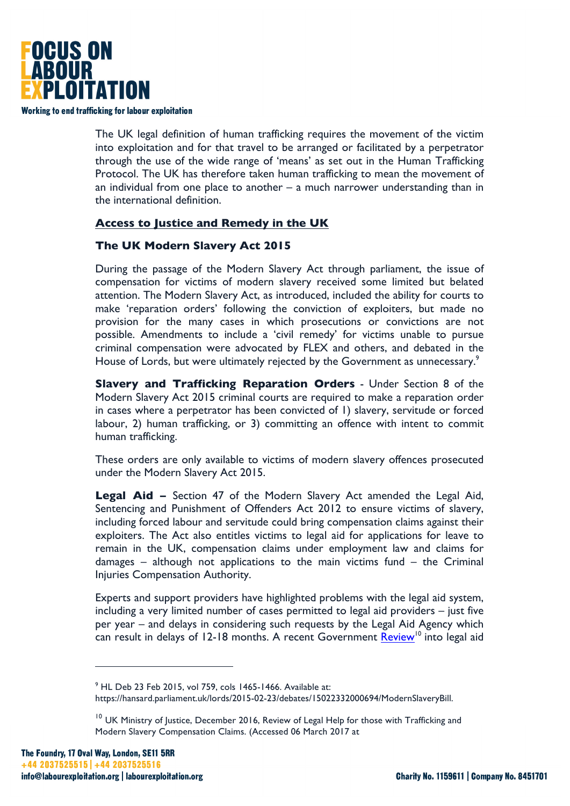

The UK legal definition of human trafficking requires the movement of the victim into exploitation and for that travel to be arranged or facilitated by a perpetrator through the use of the wide range of 'means' as set out in the Human Trafficking Protocol. The UK has therefore taken human trafficking to mean the movement of an individual from one place to another – a much narrower understanding than in the international definition.

#### **Access to Justice and Remedy in the UK**

#### **The UK Modern Slavery Act 2015**

During the passage of the Modern Slavery Act through parliament, the issue of compensation for victims of modern slavery received some limited but belated attention. The Modern Slavery Act, as introduced, included the ability for courts to make 'reparation orders' following the conviction of exploiters, but made no provision for the many cases in which prosecutions or convictions are not possible. Amendments to include a 'civil remedy' for victims unable to pursue criminal compensation were advocated by FLEX and others, and debated in the House of Lords, but were ultimately rejected by the Government as unnecessary.<sup>9</sup>

**Slavery and Trafficking Reparation Orders** - Under Section 8 of the Modern Slavery Act 2015 criminal courts are required to make a reparation order in cases where a perpetrator has been convicted of 1) slavery, servitude or forced labour, 2) human trafficking, or 3) committing an offence with intent to commit human trafficking.

These orders are only available to victims of modern slavery offences prosecuted under the Modern Slavery Act 2015.

**Legal Aid –** Section 47 of the Modern Slavery Act amended the Legal Aid, Sentencing and Punishment of Offenders Act 2012 to ensure victims of slavery, including forced labour and servitude could bring compensation claims against their exploiters. The Act also entitles victims to legal aid for applications for leave to remain in the UK, compensation claims under employment law and claims for damages – although not applications to the main victims fund – the Criminal Injuries Compensation Authority.

Experts and support providers have highlighted problems with the legal aid system, including a very limited number of cases permitted to legal aid providers – just five per year – and delays in considering such requests by the Legal Aid Agency which can result in delays of 12-18 months. A recent Government Review<sup>10</sup> into legal aid

<sup>9</sup> HL Deb 23 Feb 2015, vol 759, cols 1465-1466. Available at: https://hansard.parliament.uk/lords/2015-02-23/debates/15022332000694/ModernSlaveryBill.

<sup>&</sup>lt;sup>10</sup> UK Ministry of Justice, December 2016, Review of Legal Help for those with Trafficking and Modern Slavery Compensation Claims. (Accessed 06 March 2017 at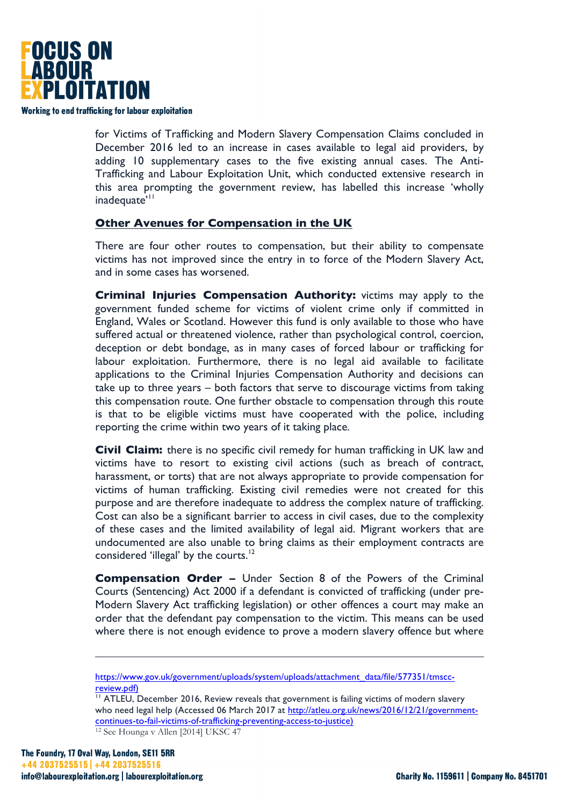

for Victims of Trafficking and Modern Slavery Compensation Claims concluded in December 2016 led to an increase in cases available to legal aid providers, by adding 10 supplementary cases to the five existing annual cases. The Anti-Trafficking and Labour Exploitation Unit, which conducted extensive research in this area prompting the government review, has labelled this increase 'wholly inadequate'<sup>11</sup>

#### **Other Avenues for Compensation in the UK**

There are four other routes to compensation, but their ability to compensate victims has not improved since the entry in to force of the Modern Slavery Act, and in some cases has worsened.

**Criminal Injuries Compensation Authority:** victims may apply to the government funded scheme for victims of violent crime only if committed in England, Wales or Scotland. However this fund is only available to those who have suffered actual or threatened violence, rather than psychological control, coercion, deception or debt bondage, as in many cases of forced labour or trafficking for labour exploitation. Furthermore, there is no legal aid available to facilitate applications to the Criminal Injuries Compensation Authority and decisions can take up to three years – both factors that serve to discourage victims from taking this compensation route. One further obstacle to compensation through this route is that to be eligible victims must have cooperated with the police, including reporting the crime within two years of it taking place.

**Civil Claim:** there is no specific civil remedy for human trafficking in UK law and victims have to resort to existing civil actions (such as breach of contract, harassment, or torts) that are not always appropriate to provide compensation for victims of human trafficking. Existing civil remedies were not created for this purpose and are therefore inadequate to address the complex nature of trafficking. Cost can also be a significant barrier to access in civil cases, due to the complexity of these cases and the limited availability of legal aid. Migrant workers that are undocumented are also unable to bring claims as their employment contracts are considered 'illegal' by the courts.<sup>12</sup>

**Compensation Order –** Under Section 8 of the Powers of the Criminal Courts (Sentencing) Act 2000 if a defendant is convicted of trafficking (under pre-Modern Slavery Act trafficking legislation) or other offences a court may make an order that the defendant pay compensation to the victim. This means can be used where there is not enough evidence to prove a modern slavery offence but where

-

https://www.gov.uk/government/uploads/system/uploads/attachment\_data/file/577351/tmsccreview.pdf)

 $\overline{11}$  ATLEU, December 2016, Review reveals that government is failing victims of modern slavery who need legal help (Accessed 06 March 2017 at http://atleu.org.uk/news/2016/12/21/governmentcontinues-to-fail-victims-of-trafficking-preventing-access-to-justice) <sup>12</sup> See Hounga v Allen [2014] UKSC 47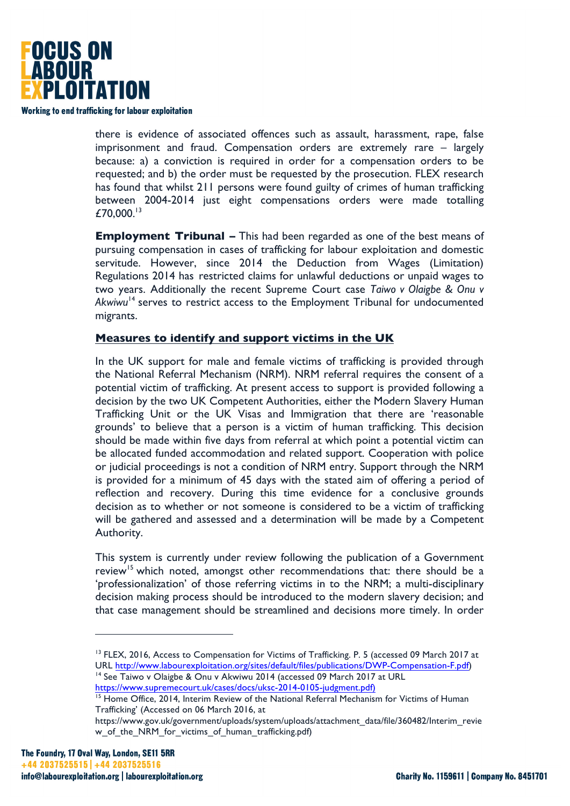

there is evidence of associated offences such as assault, harassment, rape, false imprisonment and fraud. Compensation orders are extremely rare – largely because: a) a conviction is required in order for a compensation orders to be requested; and b) the order must be requested by the prosecution. FLEX research has found that whilst 211 persons were found guilty of crimes of human trafficking between 2004-2014 just eight compensations orders were made totalling  $f70,000^{13}$ 

**Employment Tribunal –** This had been regarded as one of the best means of pursuing compensation in cases of trafficking for labour exploitation and domestic servitude. However, since 2014 the Deduction from Wages (Limitation) Regulations 2014 has restricted claims for unlawful deductions or unpaid wages to two years. Additionally the recent Supreme Court case *Taiwo v Olaigbe & Onu v*  Akwiwu<sup>14</sup> serves to restrict access to the Employment Tribunal for undocumented migrants.

#### **Measures to identify and support victims in the UK**

In the UK support for male and female victims of trafficking is provided through the National Referral Mechanism (NRM). NRM referral requires the consent of a potential victim of trafficking. At present access to support is provided following a decision by the two UK Competent Authorities, either the Modern Slavery Human Trafficking Unit or the UK Visas and Immigration that there are 'reasonable grounds' to believe that a person is a victim of human trafficking. This decision should be made within five days from referral at which point a potential victim can be allocated funded accommodation and related support. Cooperation with police or judicial proceedings is not a condition of NRM entry. Support through the NRM is provided for a minimum of 45 days with the stated aim of offering a period of reflection and recovery. During this time evidence for a conclusive grounds decision as to whether or not someone is considered to be a victim of trafficking will be gathered and assessed and a determination will be made by a Competent Authority.

This system is currently under review following the publication of a Government review<sup>15</sup> which noted, amongst other recommendations that: there should be a 'professionalization' of those referring victims in to the NRM; a multi-disciplinary decision making process should be introduced to the modern slavery decision; and that case management should be streamlined and decisions more timely. In order

<sup>&</sup>lt;sup>13</sup> FLEX, 2016, Access to Compensation for Victims of Trafficking. P. 5 (accessed 09 March 2017 at URL http://www.labourexploitation.org/sites/default/files/publications/DWP-Compensation-F.pdf)<br><sup>14</sup> See Taiwo v Olaigbe & Onu v Akwiwu 2014 (accessed 09 March 2017 at URL

https://www.supremecourt.uk/cases/docs/uksc-2014-0105-judgment.pdf)

<sup>&</sup>lt;sup>15</sup> Home Office, 2014, Interim Review of the National Referral Mechanism for Victims of Human Trafficking' (Accessed on 06 March 2016, at

https://www.gov.uk/government/uploads/system/uploads/attachment\_data/file/360482/Interim\_revie w\_of\_the\_NRM\_for\_victims\_of\_human\_trafficking.pdf)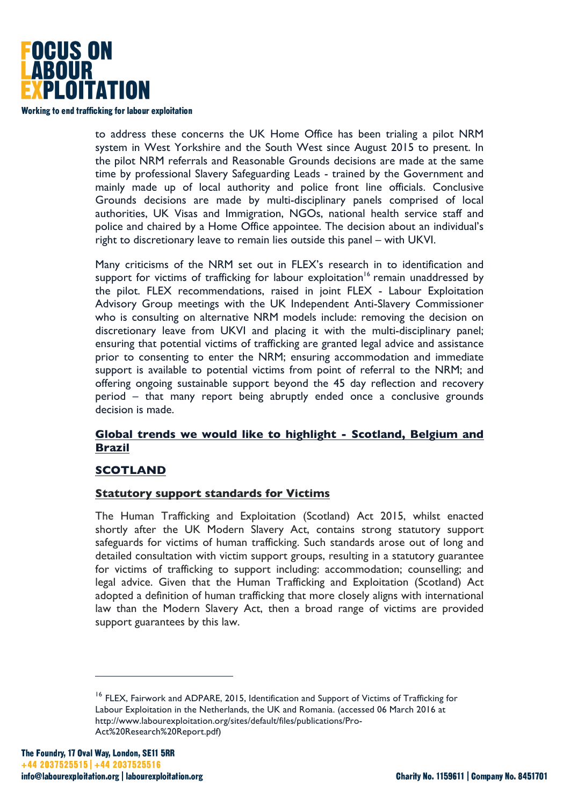

to address these concerns the UK Home Office has been trialing a pilot NRM system in West Yorkshire and the South West since August 2015 to present. In the pilot NRM referrals and Reasonable Grounds decisions are made at the same time by professional Slavery Safeguarding Leads - trained by the Government and mainly made up of local authority and police front line officials. Conclusive Grounds decisions are made by multi-disciplinary panels comprised of local authorities, UK Visas and Immigration, NGOs, national health service staff and police and chaired by a Home Office appointee. The decision about an individual's right to discretionary leave to remain lies outside this panel – with UKVI.

Many criticisms of the NRM set out in FLEX's research in to identification and support for victims of trafficking for labour exploitation<sup>16</sup> remain unaddressed by the pilot. FLEX recommendations, raised in joint FLEX - Labour Exploitation Advisory Group meetings with the UK Independent Anti-Slavery Commissioner who is consulting on alternative NRM models include: removing the decision on discretionary leave from UKVI and placing it with the multi-disciplinary panel; ensuring that potential victims of trafficking are granted legal advice and assistance prior to consenting to enter the NRM; ensuring accommodation and immediate support is available to potential victims from point of referral to the NRM; and offering ongoing sustainable support beyond the 45 day reflection and recovery period – that many report being abruptly ended once a conclusive grounds decision is made.

## **Global trends we would like to highlight - Scotland, Belgium and Brazil**

#### **SCOTLAND**

#### **Statutory support standards for Victims**

The Human Trafficking and Exploitation (Scotland) Act 2015, whilst enacted shortly after the UK Modern Slavery Act, contains strong statutory support safeguards for victims of human trafficking. Such standards arose out of long and detailed consultation with victim support groups, resulting in a statutory guarantee for victims of trafficking to support including: accommodation; counselling; and legal advice. Given that the Human Trafficking and Exploitation (Scotland) Act adopted a definition of human trafficking that more closely aligns with international law than the Modern Slavery Act, then a broad range of victims are provided support guarantees by this law.

<sup>&</sup>lt;sup>16</sup> FLEX, Fairwork and ADPARE, 2015, Identification and Support of Victims of Trafficking for Labour Exploitation in the Netherlands, the UK and Romania. (accessed 06 March 2016 at http://www.labourexploitation.org/sites/default/files/publications/Pro-Act%20Research%20Report.pdf)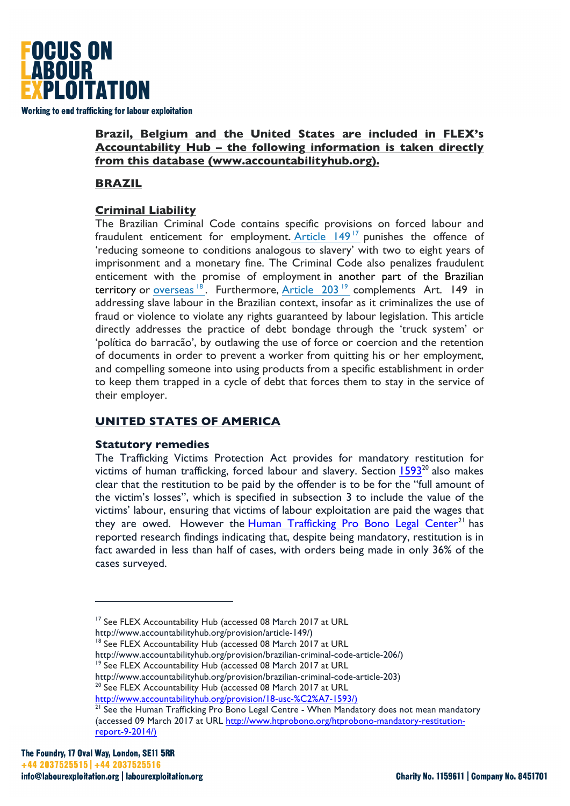

## **Brazil, Belgium and the United States are included in FLEX's Accountability Hub – the following information is taken directly from this database (www.accountabilityhub.org).**

## **BRAZIL**

## **Criminal Liability**

The Brazilian Criminal Code contains specific provisions on forced labour and fraudulent enticement for employment. Article 149<sup>17</sup> punishes the offence of 'reducing someone to conditions analogous to slavery' with two to eight years of imprisonment and a monetary fine. The Criminal Code also penalizes fraudulent enticement with the promise of employment in another part of the Brazilian territory or overseas <sup>18</sup>. Furthermore, Article 203<sup>19</sup> complements Art. 149 in addressing slave labour in the Brazilian context, insofar as it criminalizes the use of fraud or violence to violate any rights guaranteed by labour legislation. This article directly addresses the practice of debt bondage through the 'truck system' or 'política do barracão', by outlawing the use of force or coercion and the retention of documents in order to prevent a worker from quitting his or her employment, and compelling someone into using products from a specific establishment in order to keep them trapped in a cycle of debt that forces them to stay in the service of their employer.

## **UNITED STATES OF AMERICA**

#### **Statutory remedies**

The Trafficking Victims Protection Act provides for mandatory restitution for victims of human trafficking, forced labour and slavery. Section  $1593^{20}$  also makes clear that the restitution to be paid by the offender is to be for the "full amount of the victim's losses", which is specified in subsection 3 to include the value of the victims' labour, ensuring that victims of labour exploitation are paid the wages that they are owed. However the Human Trafficking Pro Bono Legal Center<sup>21</sup> has reported research findings indicating that, despite being mandatory, restitution is in fact awarded in less than half of cases, with orders being made in only 36% of the cases surveyed.

<sup>&</sup>lt;sup>17</sup> See FLEX Accountability Hub (accessed 08 March 2017 at URL

http://www.accountabilityhub.org/provision/article-149/)

<sup>&</sup>lt;sup>18</sup> See FLEX Accountability Hub (accessed 08 March 2017 at URL

http://www.accountabilityhub.org/provision/brazilian-criminal-code-article-206/)

<sup>&</sup>lt;sup>19</sup> See FLEX Accountability Hub (accessed 08 March 2017 at URL

http://www.accountabilityhub.org/provision/brazilian-criminal-code-article-203)

<sup>&</sup>lt;sup>20</sup> See FLEX Accountability Hub (accessed 08 March 2017 at URL

http://www.accountabilityhub.org/provision/18-usc-%C2%A7-1593/) <sup>21</sup> See the Human Trafficking Pro Bono Legal Centre - When Mandatory does not mean mandatory (accessed 09 March 2017 at URL http://www.htprobono.org/htprobono-mandatory-restitution-

report-9-2014/)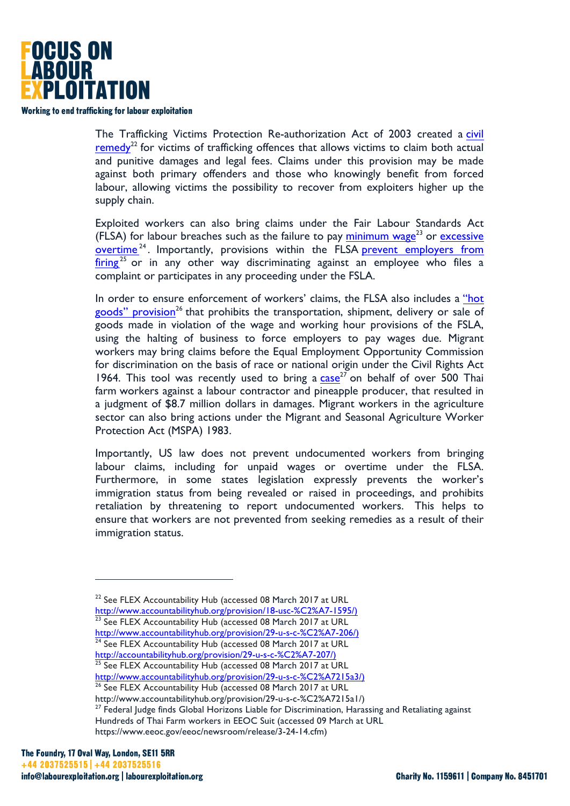

The Trafficking Victims Protection Re-authorization Act of 2003 created a civil remedy<sup>22</sup> for victims of trafficking offences that allows victims to claim both actual and punitive damages and legal fees. Claims under this provision may be made against both primary offenders and those who knowingly benefit from forced labour, allowing victims the possibility to recover from exploiters higher up the supply chain.

Exploited workers can also bring claims under the Fair Labour Standards Act (FLSA) for labour breaches such as the failure to pay minimum wage<sup>23</sup> or excessive overtime<sup>24</sup>. Importantly, provisions within the FLSA prevent employers from firing<sup>25</sup> or in any other way discriminating against an employee who files a complaint or participates in any proceeding under the FSLA.

In order to ensure enforcement of workers' claims, the FLSA also includes a "hot goods" provision<sup>26</sup> that prohibits the transportation, shipment, delivery or sale of goods made in violation of the wage and working hour provisions of the FSLA, using the halting of business to force employers to pay wages due. Migrant workers may bring claims before the Equal Employment Opportunity Commission for discrimination on the basis of race or national origin under the Civil Rights Act 1964. This tool was recently used to bring a  $\frac{case^{27}}{}$  on behalf of over 500 Thai farm workers against a labour contractor and pineapple producer, that resulted in a judgment of \$8.7 million dollars in damages. Migrant workers in the agriculture sector can also bring actions under the Migrant and Seasonal Agriculture Worker Protection Act (MSPA) 1983.

Importantly, US law does not prevent undocumented workers from bringing labour claims, including for unpaid wages or overtime under the FLSA. Furthermore, in some states legislation expressly prevents the worker's immigration status from being revealed or raised in proceedings, and prohibits retaliation by threatening to report undocumented workers. This helps to ensure that workers are not prevented from seeking remedies as a result of their immigration status.

<sup>23</sup> See FLEX Accountability Hub (accessed 08 March 2017 at URL

http://accountabilityhub.org/provision/29-u-s-c-%C2%A7-207/)

 $^{25}$  See FLEX Accountability Hub (accessed 08 March 2017 at URL

http://www.accountabilityhub.org/provision/29-u-s-c-%C2%A7215a3/) <sup>26</sup> See FLEX Accountability Hub (accessed 08 March 2017 at URL

http://www.accountabilityhub.org/provision/29-u-s-c-%C2%A7215a1/)

<sup>&</sup>lt;sup>22</sup> See FLEX Accountability Hub (accessed 08 March 2017 at URL

http://www.accountabilityhub.org/provision/18-usc-%C2%A7-1595/)

http://www.accountabilityhub.org/provision/29-u-s-c-%C2%A7-206/)  $24$  See FLEX Accountability Hub (accessed 08 March 2017 at URL

<sup>&</sup>lt;sup>27</sup> Federal Judge finds Global Horizons Liable for Discrimination, Harassing and Retaliating against Hundreds of Thai Farm workers in EEOC Suit (accessed 09 March at URL https://www.eeoc.gov/eeoc/newsroom/release/3-24-14.cfm)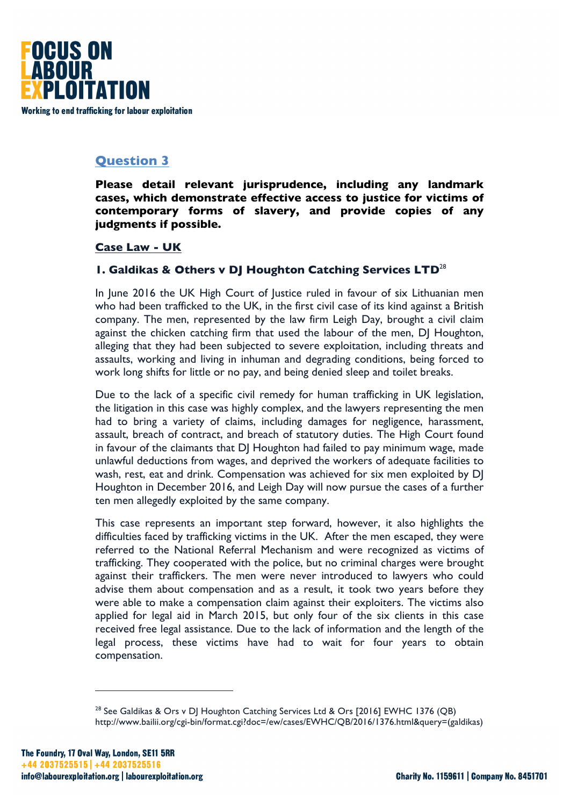

## **Question 3**

**Please detail relevant jurisprudence, including any landmark cases, which demonstrate effective access to justice for victims of contemporary forms of slavery, and provide copies of any judgments if possible.**

#### **Case Law - UK**

#### **1. Galdikas & Others v DJ Houghton Catching Services LTD**<sup>28</sup>

In June 2016 the UK High Court of Justice ruled in favour of six Lithuanian men who had been trafficked to the UK, in the first civil case of its kind against a British company. The men, represented by the law firm Leigh Day, brought a civil claim against the chicken catching firm that used the labour of the men, DJ Houghton, alleging that they had been subjected to severe exploitation, including threats and assaults, working and living in inhuman and degrading conditions, being forced to work long shifts for little or no pay, and being denied sleep and toilet breaks.

Due to the lack of a specific civil remedy for human trafficking in UK legislation, the litigation in this case was highly complex, and the lawyers representing the men had to bring a variety of claims, including damages for negligence, harassment, assault, breach of contract, and breach of statutory duties. The High Court found in favour of the claimants that DJ Houghton had failed to pay minimum wage, made unlawful deductions from wages, and deprived the workers of adequate facilities to wash, rest, eat and drink. Compensation was achieved for six men exploited by DJ Houghton in December 2016, and Leigh Day will now pursue the cases of a further ten men allegedly exploited by the same company.

This case represents an important step forward, however, it also highlights the difficulties faced by trafficking victims in the UK. After the men escaped, they were referred to the National Referral Mechanism and were recognized as victims of trafficking. They cooperated with the police, but no criminal charges were brought against their traffickers. The men were never introduced to lawyers who could advise them about compensation and as a result, it took two years before they were able to make a compensation claim against their exploiters. The victims also applied for legal aid in March 2015, but only four of the six clients in this case received free legal assistance. Due to the lack of information and the length of the legal process, these victims have had to wait for four years to obtain compensation.

<sup>&</sup>lt;sup>28</sup> See Galdikas & Ors v DJ Houghton Catching Services Ltd & Ors [2016] EWHC 1376 (QB) http://www.bailii.org/cgi-bin/format.cgi?doc=/ew/cases/EWHC/QB/2016/1376.html&query=(galdikas)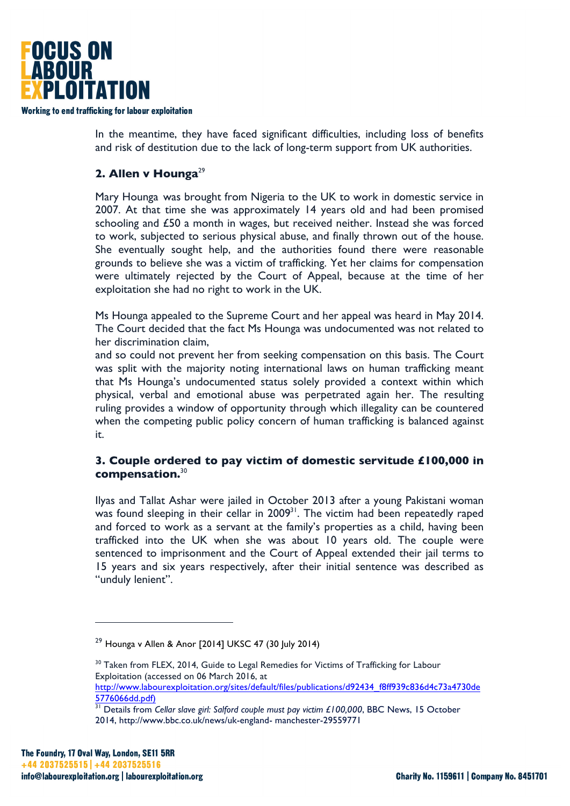

In the meantime, they have faced significant difficulties, including loss of benefits and risk of destitution due to the lack of long-term support from UK authorities.

#### 2. Allen v Hounga<sup>29</sup>

Mary Hounga was brought from Nigeria to the UK to work in domestic service in 2007. At that time she was approximately 14 years old and had been promised schooling and £50 a month in wages, but received neither. Instead she was forced to work, subjected to serious physical abuse, and finally thrown out of the house. She eventually sought help, and the authorities found there were reasonable grounds to believe she was a victim of trafficking. Yet her claims for compensation were ultimately rejected by the Court of Appeal, because at the time of her exploitation she had no right to work in the UK.

Ms Hounga appealed to the Supreme Court and her appeal was heard in May 2014. The Court decided that the fact Ms Hounga was undocumented was not related to her discrimination claim,

and so could not prevent her from seeking compensation on this basis. The Court was split with the majority noting international laws on human trafficking meant that Ms Hounga's undocumented status solely provided a context within which physical, verbal and emotional abuse was perpetrated again her. The resulting ruling provides a window of opportunity through which illegality can be countered when the competing public policy concern of human trafficking is balanced against it.

#### **3. Couple ordered to pay victim of domestic servitude £100,000 in compensation.**<sup>30</sup>

Ilyas and Tallat Ashar were jailed in October 2013 after a young Pakistani woman was found sleeping in their cellar in 2009<sup>31</sup>. The victim had been repeatedly raped and forced to work as a servant at the family's properties as a child, having been trafficked into the UK when she was about 10 years old. The couple were sentenced to imprisonment and the Court of Appeal extended their jail terms to 15 years and six years respectively, after their initial sentence was described as "unduly lenient".

 $29$  Hounga v Allen & Anor [2014] UKSC 47 (30 July 2014)

<sup>&</sup>lt;sup>30</sup> Taken from FLEX, 2014, Guide to Legal Remedies for Victims of Trafficking for Labour Exploitation (accessed on 06 March 2016, at http://www.labourexploitation.org/sites/default/files/publications/d92434\_f8ff939c836d4c73a4730de

<sup>5776066</sup>dd.pdf)

<sup>31</sup> Details from *Cellar slave girl: Salford couple must pay victim £100,000*, BBC News, 15 October 2014, http://www.bbc.co.uk/news/uk-england- manchester-29559771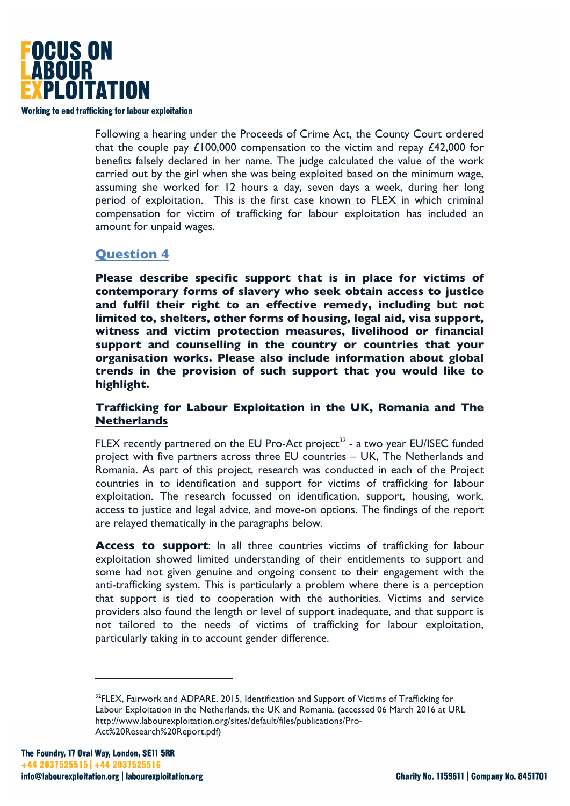

Following a hearing under the Proceeds of Crime Act, the County Court ordered that the couple pay  $\angle 100,000$  compensation to the victim and repay  $\angle 42,000$  for benefits falsely declared in her name. The judge calculated the value of the work carried out by the girl when she was being exploited based on the minimum wage, assuming she worked for 12 hours a day, seven days a week, during her long period of exploitation. This is the first case known to FLEX in which criminal compensation for victim of trafficking for labour exploitation has included an amount for unpaid wages.

#### **Question 4**

**Please describe specific support that is in place for victims of contemporary forms of slavery who seek obtain access to justice and fulfil their right to an effective remedy, including but not limited to, shelters, other forms of housing, legal aid, visa support, witness and victim protection measures, livelihood or financial support and counselling in the country or countries that your organisation works. Please also include information about global trends in the provision of such support that you would like to highlight.** 

#### **Trafficking for Labour Exploitation in the UK, Romania and The Netherlands**

FLEX recently partnered on the EU Pro-Act project<sup>32</sup> - a two year EU/ISEC funded project with five partners across three EU countries – UK, The Netherlands and Romania. As part of this project, research was conducted in each of the Project countries in to identification and support for victims of trafficking for labour exploitation. The research focussed on identification, support, housing, work, access to justice and legal advice, and move-on options. The findings of the report are relayed thematically in the paragraphs below.

**Access to support**: In all three countries victims of trafficking for labour exploitation showed limited understanding of their entitlements to support and some had not given genuine and ongoing consent to their engagement with the anti-trafficking system. This is particularly a problem where there is a perception that support is tied to cooperation with the authorities. Victims and service providers also found the length or level of support inadequate, and that support is not tailored to the needs of victims of trafficking for labour exploitation, particularly taking in to account gender difference.

<sup>&</sup>lt;sup>32</sup>FLEX, Fairwork and ADPARE, 2015, Identification and Support of Victims of Trafficking for Labour Exploitation in the Netherlands, the UK and Romania. (accessed 06 March 2016 at URL http://www.labourexploitation.org/sites/default/files/publications/Pro-Act%20Research%20Report.pdf)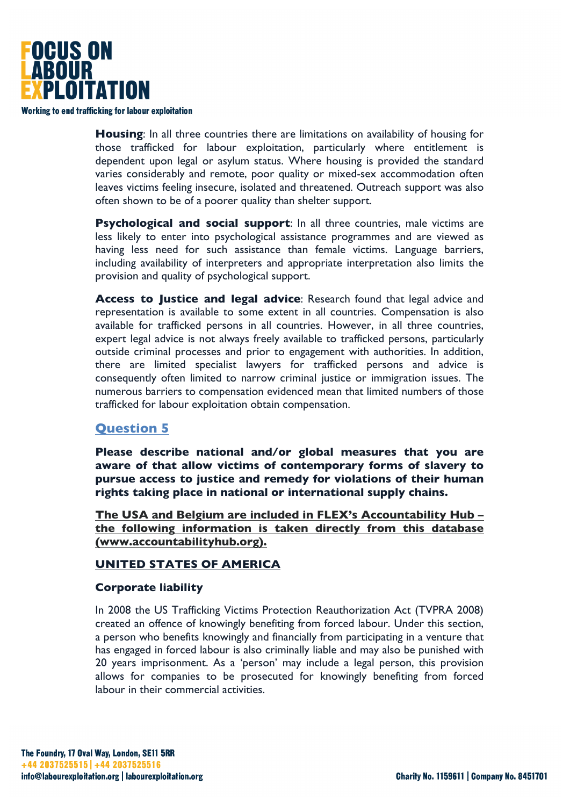

**Housing**: In all three countries there are limitations on availability of housing for those trafficked for labour exploitation, particularly where entitlement is dependent upon legal or asylum status. Where housing is provided the standard varies considerably and remote, poor quality or mixed-sex accommodation often leaves victims feeling insecure, isolated and threatened. Outreach support was also often shown to be of a poorer quality than shelter support.

**Psychological and social support:** In all three countries, male victims are less likely to enter into psychological assistance programmes and are viewed as having less need for such assistance than female victims. Language barriers, including availability of interpreters and appropriate interpretation also limits the provision and quality of psychological support.

**Access to Justice and legal advice**: Research found that legal advice and representation is available to some extent in all countries. Compensation is also available for trafficked persons in all countries. However, in all three countries, expert legal advice is not always freely available to trafficked persons, particularly outside criminal processes and prior to engagement with authorities. In addition, there are limited specialist lawyers for trafficked persons and advice is consequently often limited to narrow criminal justice or immigration issues. The numerous barriers to compensation evidenced mean that limited numbers of those trafficked for labour exploitation obtain compensation.

## **Question 5**

**Please describe national and/or global measures that you are aware of that allow victims of contemporary forms of slavery to pursue access to justice and remedy for violations of their human rights taking place in national or international supply chains.**

**The USA and Belgium are included in FLEX's Accountability Hub – the following information is taken directly from this database (www.accountabilityhub.org).**

## **UNITED STATES OF AMERICA**

#### **Corporate liability**

In 2008 the US Trafficking Victims Protection Reauthorization Act (TVPRA 2008) created an offence of knowingly benefiting from forced labour. Under this section, a person who benefits knowingly and financially from participating in a venture that has engaged in forced labour is also criminally liable and may also be punished with 20 years imprisonment. As a 'person' may include a legal person, this provision allows for companies to be prosecuted for knowingly benefiting from forced labour in their commercial activities.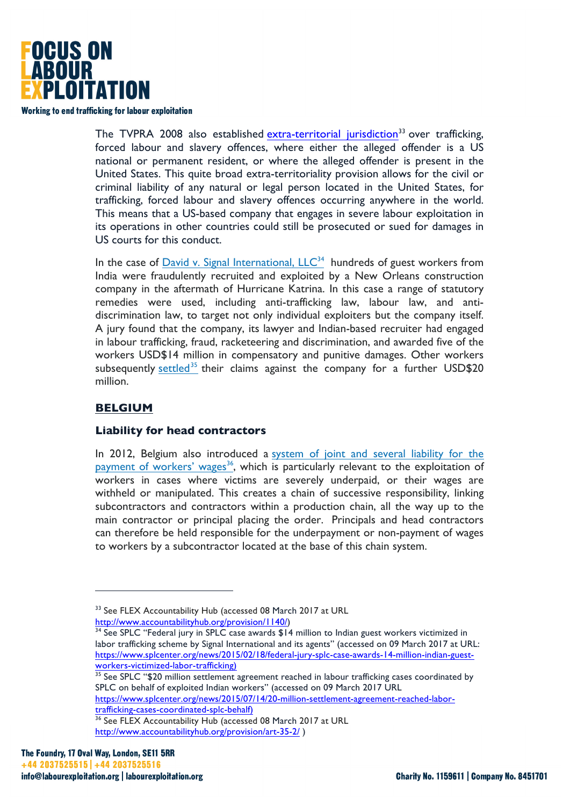

The TVPRA 2008 also established extra-territorial jurisdiction<sup>33</sup> over trafficking, forced labour and slavery offences, where either the alleged offender is a US national or permanent resident, or where the alleged offender is present in the United States. This quite broad extra-territoriality provision allows for the civil or criminal liability of any natural or legal person located in the United States, for trafficking, forced labour and slavery offences occurring anywhere in the world. This means that a US-based company that engages in severe labour exploitation in its operations in other countries could still be prosecuted or sued for damages in US courts for this conduct.

In the case of David v. Signal International,  $LLC<sup>34</sup>$  hundreds of guest workers from India were fraudulently recruited and exploited by a New Orleans construction company in the aftermath of Hurricane Katrina. In this case a range of statutory remedies were used, including anti-trafficking law, labour law, and antidiscrimination law, to target not only individual exploiters but the company itself. A jury found that the company, its lawyer and Indian-based recruiter had engaged in labour trafficking, fraud, racketeering and discrimination, and awarded five of the workers USD\$14 million in compensatory and punitive damages. Other workers subsequently settled<sup>35</sup> their claims against the company for a further USD\$20 million.

## **BELGIUM**

#### **Liability for head contractors**

In 2012, Belgium also introduced a system of joint and several liability for the payment of workers' wages<sup>36</sup>, which is particularly relevant to the exploitation of workers in cases where victims are severely underpaid, or their wages are withheld or manipulated. This creates a chain of successive responsibility, linking subcontractors and contractors within a production chain, all the way up to the main contractor or principal placing the order. Principals and head contractors can therefore be held responsible for the underpayment or non-payment of wages to workers by a subcontractor located at the base of this chain system.

<sup>&</sup>lt;sup>33</sup> See FLEX Accountability Hub (accessed 08 March 2017 at URL http://www.accountabilityhub.org/provision/1140/)

<sup>&</sup>lt;sup>34</sup> See SPLC "Federal jury in SPLC case awards \$14 million to Indian guest workers victimized in labor trafficking scheme by Signal International and its agents" (accessed on 09 March 2017 at URL: https://www.splcenter.org/news/2015/02/18/federal-jury-splc-case-awards-14-million-indian-guestworkers-victimized-labor-trafficking)

<sup>&</sup>lt;sup>35</sup> See SPLC "\$20 million settlement agreement reached in labour trafficking cases coordinated by SPLC on behalf of exploited Indian workers" (accessed on 09 March 2017 URL https://www.splcenter.org/news/2015/07/14/20-million-settlement-agreement-reached-labortrafficking-cases-coordinated-splc-behalf)

<sup>&</sup>lt;sup>36</sup> See FLEX Accountability Hub (accessed 08 March 2017 at URL http://www.accountabilityhub.org/provision/art-35-2/ )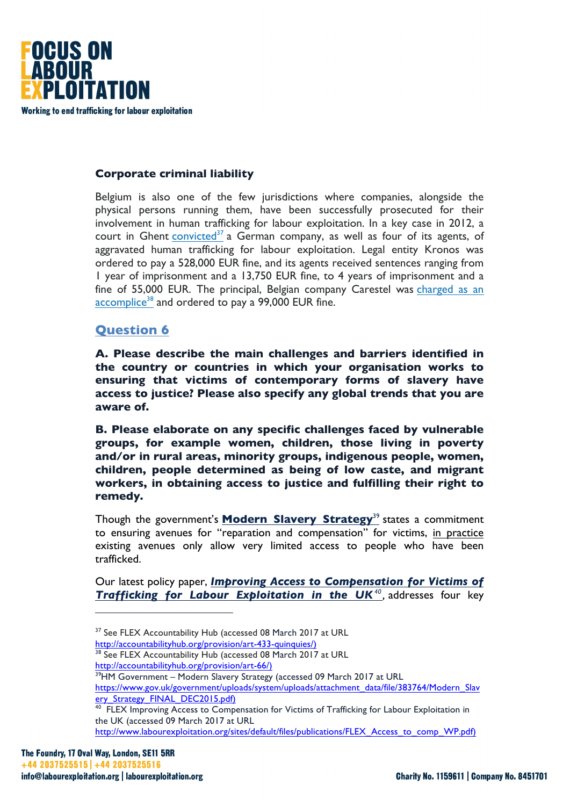

#### **Corporate criminal liability**

Belgium is also one of the few jurisdictions where companies, alongside the physical persons running them, have been successfully prosecuted for their involvement in human trafficking for labour exploitation. In a key case in 2012, a court in Ghent convicted<sup>37</sup> a German company, as well as four of its agents, of aggravated human trafficking for labour exploitation. Legal entity Kronos was ordered to pay a 528,000 EUR fine, and its agents received sentences ranging from 1 year of imprisonment and a 13,750 EUR fine, to 4 years of imprisonment and a fine of 55,000 EUR. The principal, Belgian company Carestel was charged as an accomplice<sup>38</sup> and ordered to pay a 99,000 EUR fine.

## **Question 6**

**A. Please describe the main challenges and barriers identified in the country or countries in which your organisation works to ensuring that victims of contemporary forms of slavery have access to justice? Please also specify any global trends that you are aware of.** 

**B. Please elaborate on any specific challenges faced by vulnerable groups, for example women, children, those living in poverty and/or in rural areas, minority groups, indigenous people, women, children, people determined as being of low caste, and migrant workers, in obtaining access to justice and fulfilling their right to remedy.** 

Though the government's **Modern Slavery Strategy**<sup>39</sup> states a commitment to ensuring avenues for "reparation and compensation" for victims, in practice existing avenues only allow very limited access to people who have been trafficked.

Our latest policy paper, *Improving Access to Compensation for Victims of Trafficking for Labour Exploitation in the UK<sup>40</sup> ,* addresses four key

http://accountabilityhub.org/provision/art-433-quinquies/)

<sup>38</sup> See FLEX Accountability Hub (accessed 08 March 2017 at URL

<sup>&</sup>lt;sup>37</sup> See FLEX Accountability Hub (accessed 08 March 2017 at URL

http://accountabilityhub.org/provision/art-66/)

<sup>&</sup>lt;sup>39</sup>HM Government – Modern Slavery Strategy (accessed 09 March 2017 at URL

https://www.gov.uk/government/uploads/system/uploads/attachment\_data/file/383764/Modern\_Slav ery\_Strategy\_FINAL\_DEC2015.pdf)

<sup>&</sup>lt;sup>40</sup> FLEX Improving Access to Compensation for Victims of Trafficking for Labour Exploitation in the UK (accessed 09 March 2017 at URL

http://www.labourexploitation.org/sites/default/files/publications/FLEX\_Access\_to\_comp\_WP.pdf)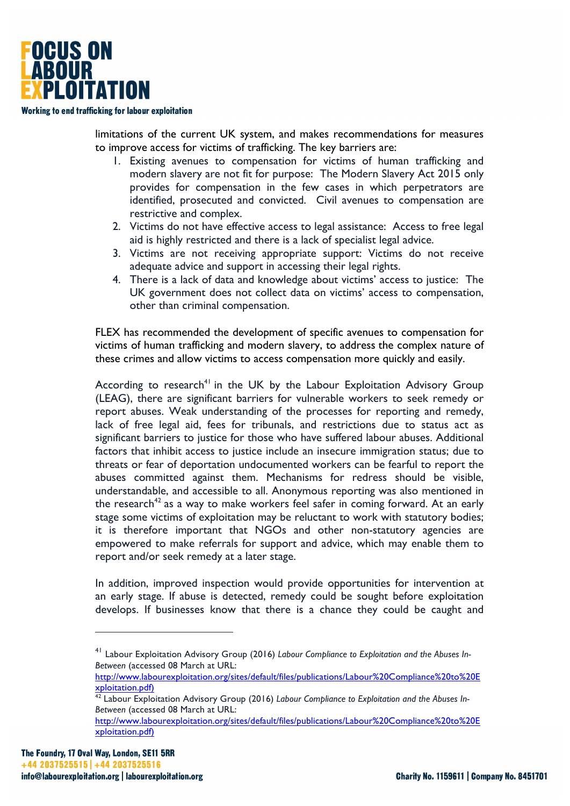

limitations of the current UK system, and makes recommendations for measures to improve access for victims of trafficking. The key barriers are:

- 1. Existing avenues to compensation for victims of human trafficking and modern slavery are not fit for purpose: The Modern Slavery Act 2015 only provides for compensation in the few cases in which perpetrators are identified, prosecuted and convicted. Civil avenues to compensation are restrictive and complex.
- 2. Victims do not have effective access to legal assistance: Access to free legal aid is highly restricted and there is a lack of specialist legal advice.
- 3. Victims are not receiving appropriate support: Victims do not receive adequate advice and support in accessing their legal rights.
- 4. There is a lack of data and knowledge about victims' access to justice: The UK government does not collect data on victims' access to compensation, other than criminal compensation.

FLEX has recommended the development of specific avenues to compensation for victims of human trafficking and modern slavery, to address the complex nature of these crimes and allow victims to access compensation more quickly and easily.

According to research<sup>41</sup> in the UK by the Labour Exploitation Advisory Group (LEAG), there are significant barriers for vulnerable workers to seek remedy or report abuses. Weak understanding of the processes for reporting and remedy, lack of free legal aid, fees for tribunals, and restrictions due to status act as significant barriers to justice for those who have suffered labour abuses. Additional factors that inhibit access to justice include an insecure immigration status; due to threats or fear of deportation undocumented workers can be fearful to report the abuses committed against them. Mechanisms for redress should be visible, understandable, and accessible to all. Anonymous reporting was also mentioned in the research<sup>42</sup> as a way to make workers feel safer in coming forward. At an early stage some victims of exploitation may be reluctant to work with statutory bodies; it is therefore important that NGOs and other non-statutory agencies are empowered to make referrals for support and advice, which may enable them to report and/or seek remedy at a later stage.

In addition, improved inspection would provide opportunities for intervention at an early stage. If abuse is detected, remedy could be sought before exploitation develops. If businesses know that there is a chance they could be caught and

<sup>41</sup> Labour Exploitation Advisory Group (2016) *Labour Compliance to Exploitation and the Abuses In-Between* (accessed 08 March at URL:

http://www.labourexploitation.org/sites/default/files/publications/Labour%20Compliance%20to%20E xploitation.pdf)

<sup>42</sup> Labour Exploitation Advisory Group (2016) *Labour Compliance to Exploitation and the Abuses In-Between* (accessed 08 March at URL:

http://www.labourexploitation.org/sites/default/files/publications/Labour%20Compliance%20to%20E xploitation.pdf)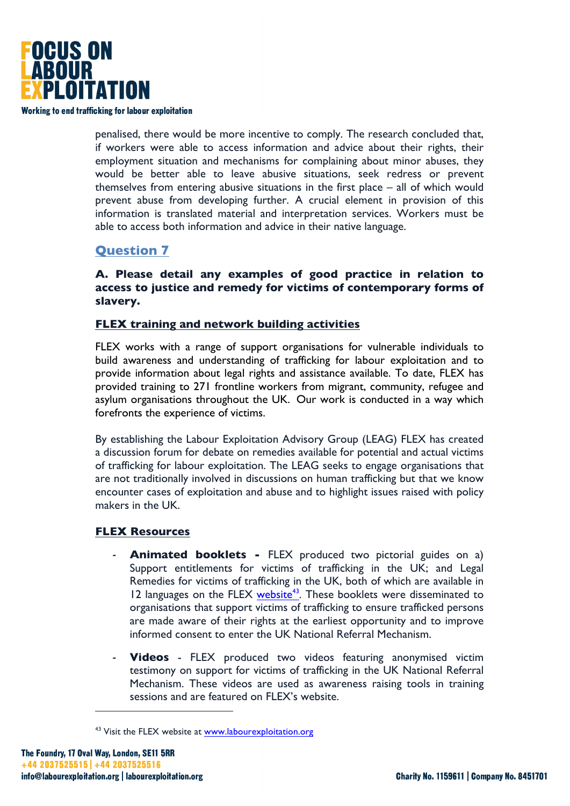

penalised, there would be more incentive to comply. The research concluded that, if workers were able to access information and advice about their rights, their employment situation and mechanisms for complaining about minor abuses, they would be better able to leave abusive situations, seek redress or prevent themselves from entering abusive situations in the first place – all of which would prevent abuse from developing further. A crucial element in provision of this information is translated material and interpretation services. Workers must be able to access both information and advice in their native language.

#### **Question 7**

**A. Please detail any examples of good practice in relation to access to justice and remedy for victims of contemporary forms of slavery.** 

#### **FLEX training and network building activities**

FLEX works with a range of support organisations for vulnerable individuals to build awareness and understanding of trafficking for labour exploitation and to provide information about legal rights and assistance available. To date, FLEX has provided training to 271 frontline workers from migrant, community, refugee and asylum organisations throughout the UK. Our work is conducted in a way which forefronts the experience of victims.

By establishing the Labour Exploitation Advisory Group (LEAG) FLEX has created a discussion forum for debate on remedies available for potential and actual victims of trafficking for labour exploitation. The LEAG seeks to engage organisations that are not traditionally involved in discussions on human trafficking but that we know encounter cases of exploitation and abuse and to highlight issues raised with policy makers in the UK.

#### **FLEX Resources**

- **Animated booklets -** FLEX produced two pictorial guides on a) Support entitlements for victims of trafficking in the UK; and Legal Remedies for victims of trafficking in the UK, both of which are available in 12 languages on the FLEX website<sup>43</sup>. These booklets were disseminated to organisations that support victims of trafficking to ensure trafficked persons are made aware of their rights at the earliest opportunity and to improve informed consent to enter the UK National Referral Mechanism.
- **- Videos** FLEX produced two videos featuring anonymised victim testimony on support for victims of trafficking in the UK National Referral Mechanism. These videos are used as awareness raising tools in training sessions and are featured on FLEX's website.

<sup>&</sup>lt;sup>43</sup> Visit the FLEX website at www.labourexploitation.org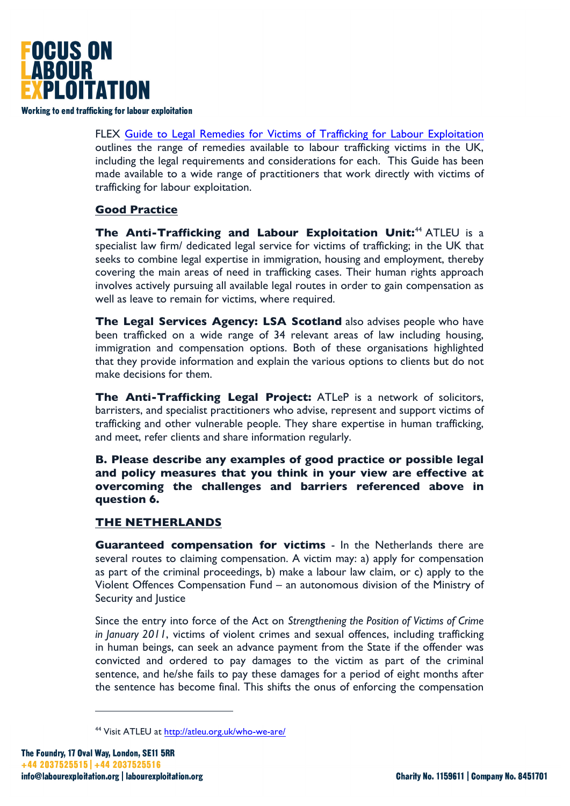

FLEX Guide to Legal Remedies for Victims of Trafficking for Labour Exploitation outlines the range of remedies available to labour trafficking victims in the UK, including the legal requirements and considerations for each. This Guide has been made available to a wide range of practitioners that work directly with victims of trafficking for labour exploitation.

## **Good Practice**

The Anti-Trafficking and Labour Exploitation Unit:<sup>44</sup> ATLEU is a specialist law firm/ dedicated legal service for victims of trafficking; in the UK that seeks to combine legal expertise in immigration, housing and employment, thereby covering the main areas of need in trafficking cases. Their human rights approach involves actively pursuing all available legal routes in order to gain compensation as well as leave to remain for victims, where required.

**The Legal Services Agency: LSA Scotland** also advises people who have been trafficked on a wide range of 34 relevant areas of law including housing, immigration and compensation options. Both of these organisations highlighted that they provide information and explain the various options to clients but do not make decisions for them.

**The Anti-Trafficking Legal Project:** ATLeP is a network of solicitors, barristers, and specialist practitioners who advise, represent and support victims of trafficking and other vulnerable people. They share expertise in human trafficking, and meet, refer clients and share information regularly.

**B. Please describe any examples of good practice or possible legal and policy measures that you think in your view are effective at overcoming the challenges and barriers referenced above in question 6.** 

#### **THE NETHERLANDS**

**Guaranteed compensation for victims** - In the Netherlands there are several routes to claiming compensation. A victim may: a) apply for compensation as part of the criminal proceedings, b) make a labour law claim, or c) apply to the Violent Offences Compensation Fund – an autonomous division of the Ministry of Security and Justice

Since the entry into force of the Act on *Strengthening the Position of Victims of Crime in January 2011*, victims of violent crimes and sexual offences, including trafficking in human beings, can seek an advance payment from the State if the offender was convicted and ordered to pay damages to the victim as part of the criminal sentence, and he/she fails to pay these damages for a period of eight months after the sentence has become final. This shifts the onus of enforcing the compensation

<sup>44</sup> Visit ATLEU at http://atleu.org.uk/who-we-are/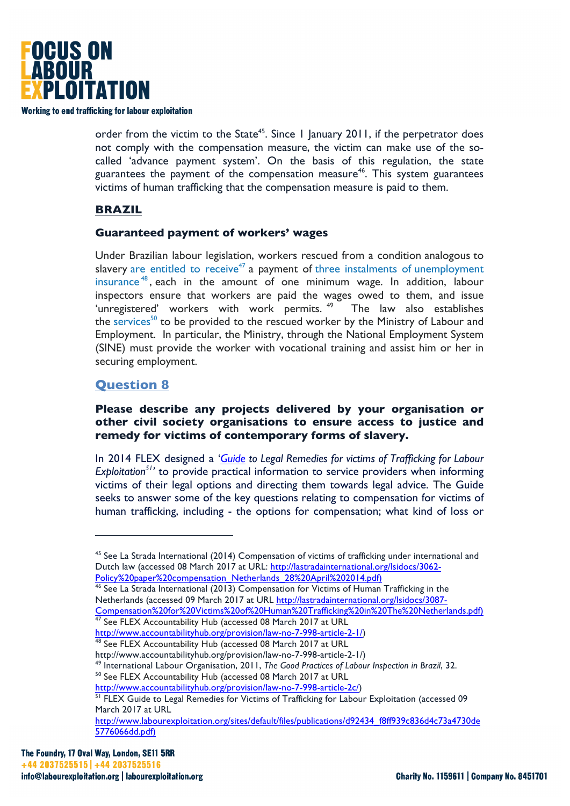

order from the victim to the State<sup>45</sup>. Since  $\vert$  January 2011, if the perpetrator does not comply with the compensation measure, the victim can make use of the socalled 'advance payment system'. On the basis of this regulation, the state guarantees the payment of the compensation measure<sup>46</sup>. This system guarantees victims of human trafficking that the compensation measure is paid to them.

## **BRAZIL**

#### **Guaranteed payment of workers' wages**

Under Brazilian labour legislation, workers rescued from a condition analogous to slavery are entitled to receive<sup>47</sup> a payment of three instalments of unemployment insurance <sup>48</sup> , each in the amount of one minimum wage. In addition, labour inspectors ensure that workers are paid the wages owed to them, and issue 'unregistered' workers with work permits.<sup>49</sup> The law also establishes the services<sup>50</sup> to be provided to the rescued worker by the Ministry of Labour and Employment. In particular, the Ministry, through the National Employment System (SINE) must provide the worker with vocational training and assist him or her in securing employment.

## **Question 8**

#### **Please describe any projects delivered by your organisation or other civil society organisations to ensure access to justice and remedy for victims of contemporary forms of slavery.**

In 2014 FLEX designed a '*Guide to Legal Remedies for victims of Trafficking for Labour Exploitation<sup>51</sup>* to provide practical information to service providers when informing victims of their legal options and directing them towards legal advice. The Guide seeks to answer some of the key questions relating to compensation for victims of human trafficking, including - the options for compensation; what kind of loss or

Policy%20paper%20compensation\_Netherlands\_28%20April%202014.pdf)<br><sup>46</sup> See La Strada International (2013) Compensation for Victims of Human Trafficking in the Netherlands (accessed 09 March 2017 at URL http://lastradainternational.org/lsidocs/3087- Compensation%20for%20Victims%20of%20Human%20Trafficking%20in%20The%20Netherlands.pdf)

<sup>47</sup> See FLEX Accountability Hub (accessed 08 March 2017 at URL

http://www.accountabilityhub.org/provision/law-no-7-998-article-2-1/) 48 See FLEX Accountability Hub (accessed 08 March 2017 at URL

http://www.accountabilityhub.org/provision/law-no-7-998-article-2-1/)

<sup>49</sup> International Labour Organisation, 2011, *The Good Practices of Labour Inspection in Brazil*, 32.<br><sup>50</sup> See FLEX Accountability Hub (accessed 08 March 2017 at URL

<sup>&</sup>lt;sup>45</sup> See La Strada International (2014) Compensation of victims of trafficking under international and Dutch law (accessed 08 March 2017 at URL: http://lastradainternational.org/lsidocs/3062-

http://www.accountabilityhub.org/provision/law-no-7-998-article-2c/)<br><sup>51</sup> FLEX Guide to Legal Remedies for Victims of Trafficking for Labour Exploitation (accessed 09 March 2017 at URL

http://www.labourexploitation.org/sites/default/files/publications/d92434\_f8ff939c836d4c73a4730de 5776066dd.pdf)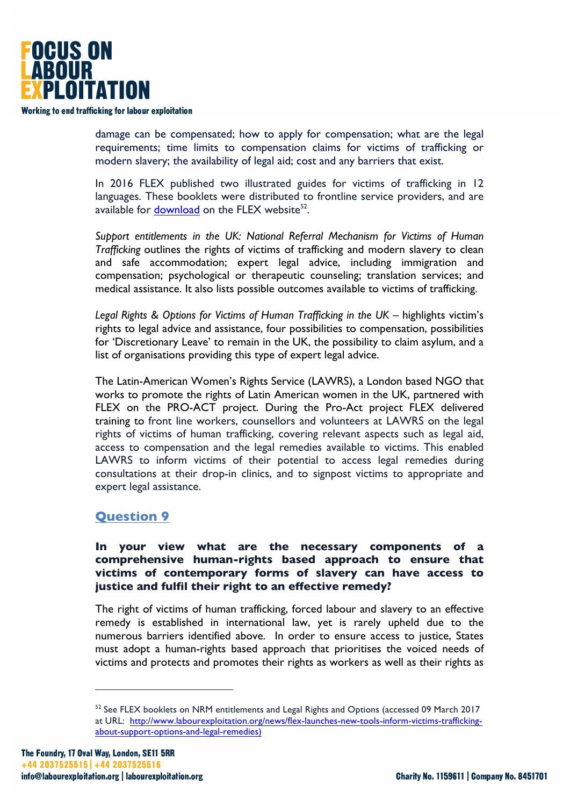

damage can be compensated; how to apply for compensation; what are the legal requirements; time limits to compensation claims for victims of trafficking or modern slavery; the availability of legal aid; cost and any barriers that exist.

In 2016 FLEX published two illustrated guides for victims of trafficking in 12 languages. These booklets were distributed to frontline service providers, and are available for download on the FLEX website $52$ .

*Support entitlements in the UK: National Referral Mechanism for Victims of Human Trafficking* outlines the rights of victims of trafficking and modern slavery to clean and safe accommodation; expert legal advice, including immigration and compensation; psychological or therapeutic counseling; translation services; and medical assistance. It also lists possible outcomes available to victims of trafficking.

*Legal Rights & Options for Victims of Human Trafficking in the UK –* highlights victim's rights to legal advice and assistance, four possibilities to compensation, possibilities for 'Discretionary Leave' to remain in the UK, the possibility to claim asylum, and a list of organisations providing this type of expert legal advice.

The Latin-American Women's Rights Service (LAWRS), a London based NGO that works to promote the rights of Latin American women in the UK, partnered with FLEX on the PRO-ACT project. During the Pro-Act project FLEX delivered training to front line workers, counsellors and volunteers at LAWRS on the legal rights of victims of human trafficking, covering relevant aspects such as legal aid, access to compensation and the legal remedies available to victims. This enabled LAWRS to inform victims of their potential to access legal remedies during consultations at their drop-in clinics, and to signpost victims to appropriate and expert legal assistance.

## **Question 9**

#### **In your view what are the necessary components of a comprehensive human-rights based approach to ensure that victims of contemporary forms of slavery can have access to justice and fulfil their right to an effective remedy?**

The right of victims of human trafficking, forced labour and slavery to an effective remedy is established in international law, yet is rarely upheld due to the numerous barriers identified above. In order to ensure access to justice, States must adopt a human-rights based approach that prioritises the voiced needs of victims and protects and promotes their rights as workers as well as their rights as

<sup>&</sup>lt;sup>52</sup> See FLEX booklets on NRM entitlements and Legal Rights and Options (accessed 09 March 2017) at URL: http://www.labourexploitation.org/news/flex-launches-new-tools-inform-victims-traffickingabout-support-options-and-legal-remedies)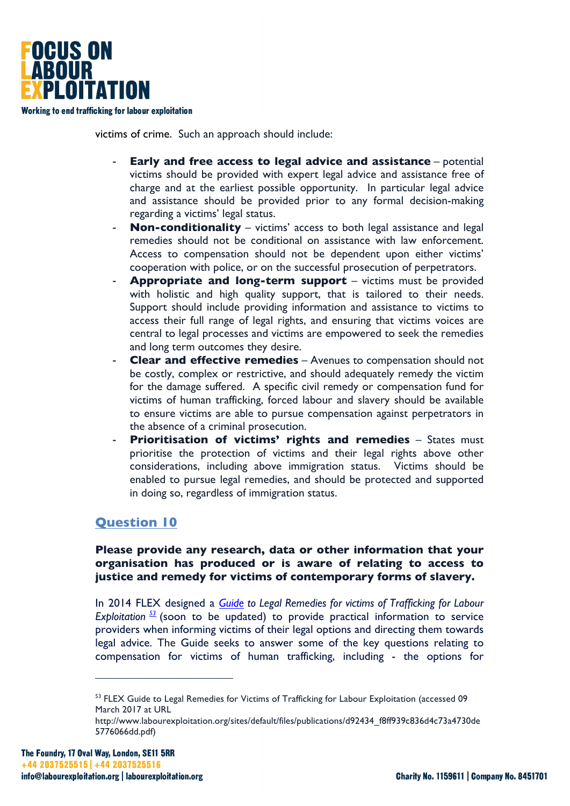

victims of crime. Such an approach should include:

- **Early and free access to legal advice and assistance** potential victims should be provided with expert legal advice and assistance free of charge and at the earliest possible opportunity. In particular legal advice and assistance should be provided prior to any formal decision-making regarding a victims' legal status.
- **Non-conditionality** victims' access to both legal assistance and legal remedies should not be conditional on assistance with law enforcement. Access to compensation should not be dependent upon either victims' cooperation with police, or on the successful prosecution of perpetrators.
- **Appropriate and long-term support** victims must be provided with holistic and high quality support, that is tailored to their needs. Support should include providing information and assistance to victims to access their full range of legal rights, and ensuring that victims voices are central to legal processes and victims are empowered to seek the remedies and long term outcomes they desire.
- **- Clear and effective remedies** Avenues to compensation should not be costly, complex or restrictive, and should adequately remedy the victim for the damage suffered. A specific civil remedy or compensation fund for victims of human trafficking, forced labour and slavery should be available to ensure victims are able to pursue compensation against perpetrators in the absence of a criminal prosecution.
- **Prioritisation of victims' rights and remedies** States must prioritise the protection of victims and their legal rights above other considerations, including above immigration status. Victims should be enabled to pursue legal remedies, and should be protected and supported in doing so, regardless of immigration status.

## **Question 10**

#### **Please provide any research, data or other information that your organisation has produced or is aware of relating to access to justice and remedy for victims of contemporary forms of slavery.**

In 2014 FLEX designed a *Guide to Legal Remedies for victims of Trafficking for Labour Exploitation <sup>53</sup>* (soon to be updated) to provide practical information to service providers when informing victims of their legal options and directing them towards legal advice. The Guide seeks to answer some of the key questions relating to compensation for victims of human trafficking, including - the options for

<sup>&</sup>lt;sup>53</sup> FLEX Guide to Legal Remedies for Victims of Trafficking for Labour Exploitation (accessed 09 March 2017 at URL

http://www.labourexploitation.org/sites/default/files/publications/d92434\_f8ff939c836d4c73a4730de 5776066dd.pdf)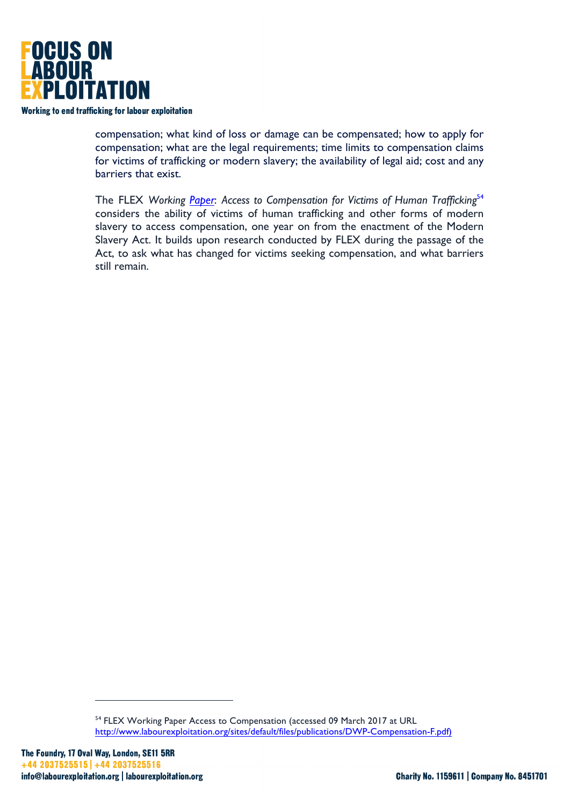

compensation; what kind of loss or damage can be compensated; how to apply for compensation; what are the legal requirements; time limits to compensation claims for victims of trafficking or modern slavery; the availability of legal aid; cost and any barriers that exist.

The FLEX *Working Paper*: *Access to Compensation for Victims of Human Trafficking*<sup>54</sup> considers the ability of victims of human trafficking and other forms of modern slavery to access compensation, one year on from the enactment of the Modern Slavery Act. It builds upon research conducted by FLEX during the passage of the Act, to ask what has changed for victims seeking compensation, and what barriers still remain.

<sup>&</sup>lt;sup>54</sup> FLEX Working Paper Access to Compensation (accessed 09 March 2017 at URL http://www.labourexploitation.org/sites/default/files/publications/DWP-Compensation-F.pdf)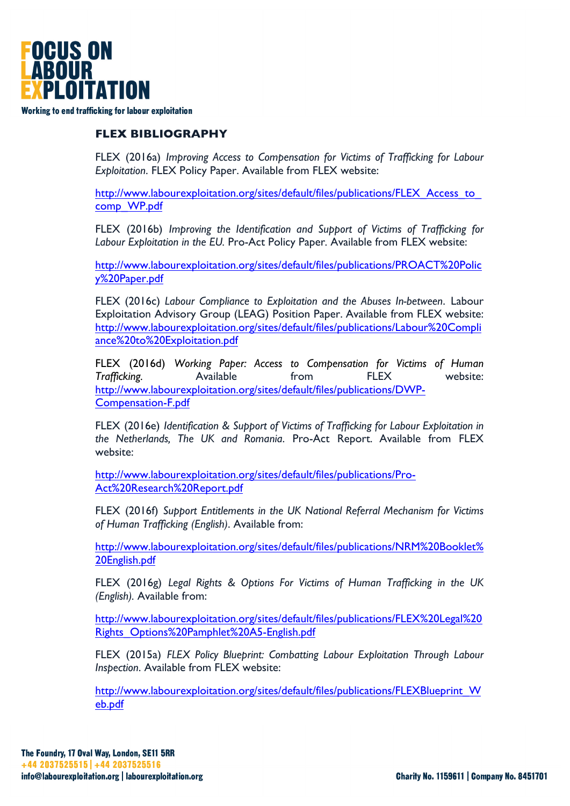

#### **FLEX BIBLIOGRAPHY**

FLEX (2016a) *Improving Access to Compensation for Victims of Trafficking for Labour Exploitation*. FLEX Policy Paper. Available from FLEX website:

http://www.labourexploitation.org/sites/default/files/publications/FLEX\_Access\_to comp\_WP.pdf

FLEX (2016b) *Improving the Identification and Support of Victims of Trafficking for Labour Exploitation in the EU.* Pro-Act Policy Paper*.* Available from FLEX website:

http://www.labourexploitation.org/sites/default/files/publications/PROACT%20Polic y%20Paper.pdf

FLEX (2016c) *Labour Compliance to Exploitation and the Abuses In-between*. Labour Exploitation Advisory Group (LEAG) Position Paper. Available from FLEX website: http://www.labourexploitation.org/sites/default/files/publications/Labour%20Compli ance%20to%20Exploitation.pdf

FLEX (2016d) *Working Paper: Access to Compensation for Victims of Human*  **Trafficking.** Available from FLEX website: http://www.labourexploitation.org/sites/default/files/publications/DWP-Compensation-F.pdf

FLEX (2016e) *Identification & Support of Victims of Trafficking for Labour Exploitation in the Netherlands, The UK and Romania*. Pro-Act Report. Available from FLEX website:

http://www.labourexploitation.org/sites/default/files/publications/Pro-Act%20Research%20Report.pdf

FLEX (2016f) *Support Entitlements in the UK National Referral Mechanism for Victims of Human Trafficking (English)*. Available from:

http://www.labourexploitation.org/sites/default/files/publications/NRM%20Booklet% 20English.pdf

FLEX (2016g) *Legal Rights & Options For Victims of Human Trafficking in the UK (English).* Available from:

http://www.labourexploitation.org/sites/default/files/publications/FLEX%20Legal%20 Rights\_Options%20Pamphlet%20A5-English.pdf

FLEX (2015a) *FLEX Policy Blueprint: Combatting Labour Exploitation Through Labour Inspection*. Available from FLEX website:

http://www.labourexploitation.org/sites/default/files/publications/FLEXBlueprint\_W eb.pdf